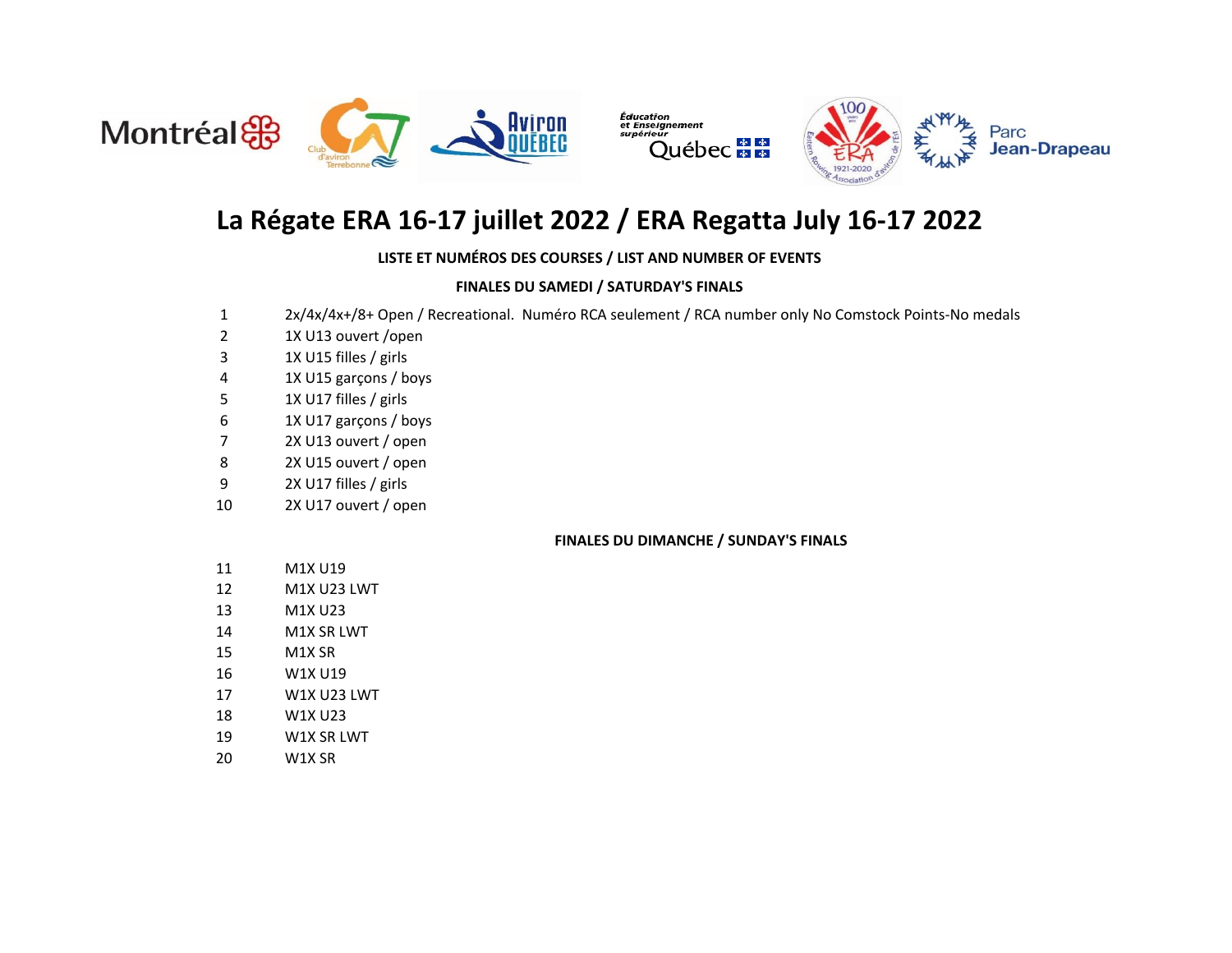



# **La Régate ERA 16-17 juillet 2022 / ERA Regatta July 16-17 2022**

### **LISTE ET NUMÉROS DES COURSES / LIST AND NUMBER OF EVENTS**

### **FINALES DU SAMEDI / SATURDAY'S FINALS**

- 2x/4x/4x+/8+ Open / Recreational. Numéro RCA seulement / RCA number only No Comstock Points-No medals
- 1X U13 ouvert /open
- 1X U15 filles / girls
- 1X U15 garçons / boys
- 1X U17 filles / girls
- 1X U17 garçons / boys
- 2X U13 ouvert / open
- 2X U15 ouvert / open
- 2X U17 filles / girls
- 2X U17 ouvert / open

#### **FINALES DU DIMANCHE / SUNDAY'S FINALS**

- M1X U19
- M1X U23 LWT
- M1X U23
- M1X SR LWT
- M1X SR
- W1X U19
- W1X U23 LWT
- W1X U23
- W1X SR LWT
- W1X SR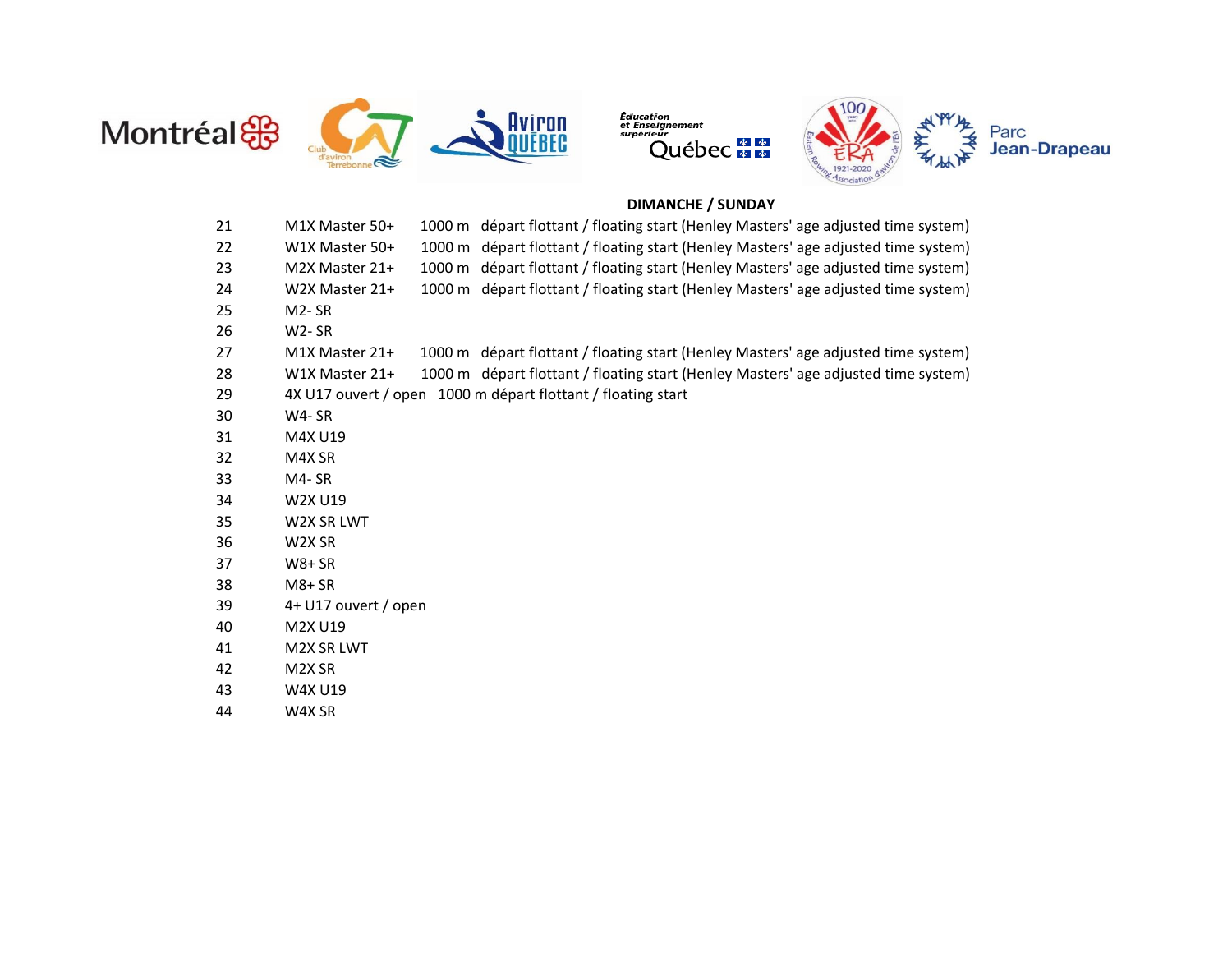



Éducation<br>et Enseignement<br>supérieur "eur<br>Québec <mark>≢ ≇</mark>



### **DIMANCHE / SUNDAY**

| 21 | M1X Master 50+       | 1000 m départ flottant / floating start (Henley Masters' age adjusted time system) |
|----|----------------------|------------------------------------------------------------------------------------|
| 22 | W1X Master 50+       | 1000 m départ flottant / floating start (Henley Masters' age adjusted time system) |
| 23 | M2X Master 21+       | 1000 m départ flottant / floating start (Henley Masters' age adjusted time system) |
| 24 | W2X Master 21+       | 1000 m départ flottant / floating start (Henley Masters' age adjusted time system) |
| 25 | M <sub>2</sub> -SR   |                                                                                    |
| 26 | W2-SR                |                                                                                    |
| 27 | M1X Master 21+       | 1000 m départ flottant / floating start (Henley Masters' age adjusted time system) |
| 28 | W1X Master 21+       | 1000 m départ flottant / floating start (Henley Masters' age adjusted time system) |
| 29 |                      | 4X U17 ouvert / open 1000 m départ flottant / floating start                       |
| 30 | $W4 - SR$            |                                                                                    |
| 31 | M4X U19              |                                                                                    |
| 32 | M4X SR               |                                                                                    |
| 33 | M4-SR                |                                                                                    |
| 34 | W2X U19              |                                                                                    |
| 35 | W2X SR LWT           |                                                                                    |
| 36 | W2X SR               |                                                                                    |
| 37 | $W8+SR$              |                                                                                    |
| 38 | $M8+SR$              |                                                                                    |
| 39 | 4+ U17 ouvert / open |                                                                                    |
| 40 | M2X U19              |                                                                                    |
| 41 | <b>M2X SR LWT</b>    |                                                                                    |
| 42 | M2X SR               |                                                                                    |
| 43 | W4X U19              |                                                                                    |
| 44 | W4X SR               |                                                                                    |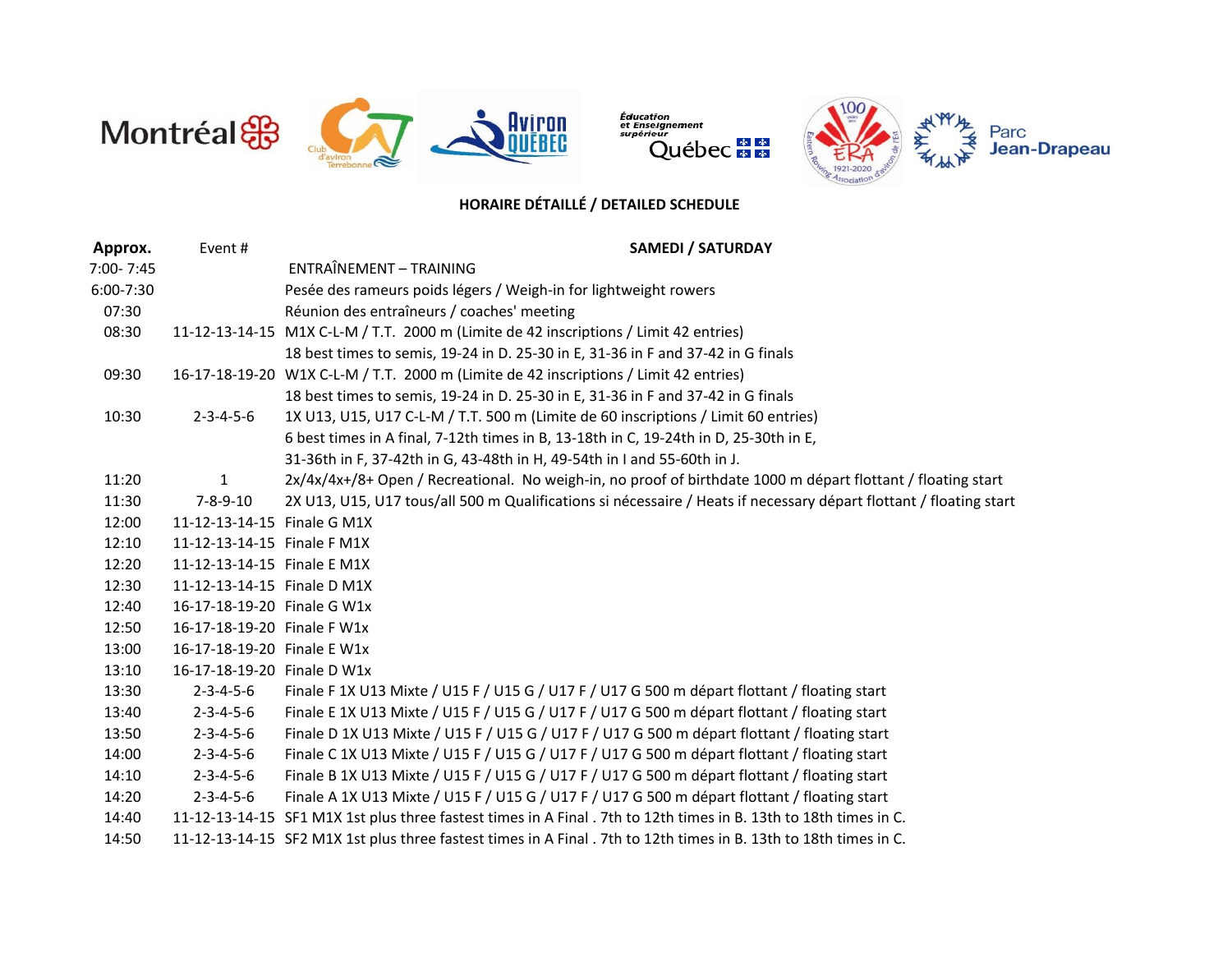

Éducation<br>et Enseignement<br>supérieur 



# **HORAIRE DÉTAILLÉ / DETAILED SCHEDULE**

| Approx.   | Event#                      | <b>SAMEDI / SATURDAY</b>                                                                                           |
|-----------|-----------------------------|--------------------------------------------------------------------------------------------------------------------|
| 7:00-7:45 |                             | ENTRAÎNEMENT - TRAINING                                                                                            |
| 6:00-7:30 |                             | Pesée des rameurs poids légers / Weigh-in for lightweight rowers                                                   |
| 07:30     |                             | Réunion des entraîneurs / coaches' meeting                                                                         |
| 08:30     |                             | 11-12-13-14-15 M1X C-L-M / T.T. 2000 m (Limite de 42 inscriptions / Limit 42 entries)                              |
|           |                             | 18 best times to semis, 19-24 in D. 25-30 in E, 31-36 in F and 37-42 in G finals                                   |
| 09:30     |                             | 16-17-18-19-20 W1X C-L-M / T.T. 2000 m (Limite de 42 inscriptions / Limit 42 entries)                              |
|           |                             | 18 best times to semis, 19-24 in D. 25-30 in E, 31-36 in F and 37-42 in G finals                                   |
| 10:30     | $2 - 3 - 4 - 5 - 6$         | 1X U13, U15, U17 C-L-M / T.T. 500 m (Limite de 60 inscriptions / Limit 60 entries)                                 |
|           |                             | 6 best times in A final, 7-12th times in B, 13-18th in C, 19-24th in D, 25-30th in E,                              |
|           |                             | 31-36th in F, 37-42th in G, 43-48th in H, 49-54th in I and 55-60th in J.                                           |
| 11:20     | $\mathbf{1}$                | 2x/4x/4x+/8+ Open / Recreational. No weigh-in, no proof of birthdate 1000 m départ flottant / floating start       |
| 11:30     | $7 - 8 - 9 - 10$            | 2X U13, U15, U17 tous/all 500 m Qualifications si nécessaire / Heats if necessary départ flottant / floating start |
| 12:00     | 11-12-13-14-15 Finale G M1X |                                                                                                                    |
| 12:10     | 11-12-13-14-15 Finale F M1X |                                                                                                                    |
| 12:20     | 11-12-13-14-15 Finale E M1X |                                                                                                                    |
| 12:30     | 11-12-13-14-15 Finale D M1X |                                                                                                                    |
| 12:40     | 16-17-18-19-20 Finale G W1x |                                                                                                                    |
| 12:50     | 16-17-18-19-20 Finale F W1x |                                                                                                                    |
| 13:00     | 16-17-18-19-20 Finale E W1x |                                                                                                                    |
| 13:10     | 16-17-18-19-20 Finale D W1x |                                                                                                                    |
| 13:30     | $2 - 3 - 4 - 5 - 6$         | Finale F 1X U13 Mixte / U15 F / U15 G / U17 F / U17 G 500 m départ flottant / floating start                       |
| 13:40     | $2 - 3 - 4 - 5 - 6$         | Finale E 1X U13 Mixte / U15 F / U15 G / U17 F / U17 G 500 m départ flottant / floating start                       |
| 13:50     | $2 - 3 - 4 - 5 - 6$         | Finale D 1X U13 Mixte / U15 F / U15 G / U17 F / U17 G 500 m départ flottant / floating start                       |
| 14:00     | $2 - 3 - 4 - 5 - 6$         | Finale C 1X U13 Mixte / U15 F / U15 G / U17 F / U17 G 500 m départ flottant / floating start                       |
| 14:10     | $2 - 3 - 4 - 5 - 6$         | Finale B 1X U13 Mixte / U15 F / U15 G / U17 F / U17 G 500 m départ flottant / floating start                       |
| 14:20     | $2 - 3 - 4 - 5 - 6$         | Finale A 1X U13 Mixte / U15 F / U15 G / U17 F / U17 G 500 m départ flottant / floating start                       |
| 14:40     |                             | 11-12-13-14-15 SF1 M1X 1st plus three fastest times in A Final . 7th to 12th times in B. 13th to 18th times in C.  |
| 14:50     |                             | 11-12-13-14-15 SF2 M1X 1st plus three fastest times in A Final . 7th to 12th times in B. 13th to 18th times in C.  |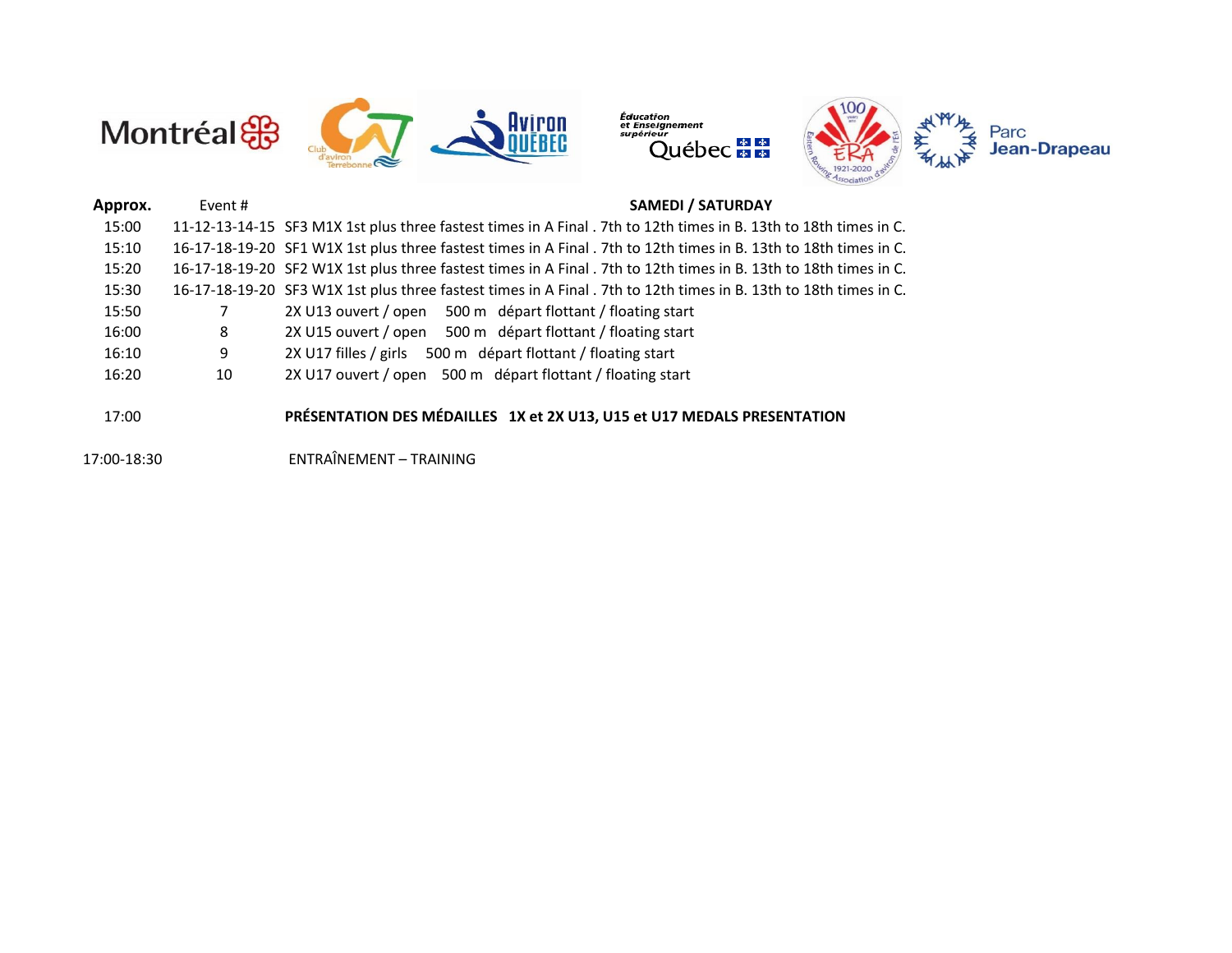



| Approx. | Event# | <b>SAMEDI / SATURDAY</b>                                                                                          |
|---------|--------|-------------------------------------------------------------------------------------------------------------------|
| 15:00   |        | 11-12-13-14-15 SF3 M1X 1st plus three fastest times in A Final . 7th to 12th times in B. 13th to 18th times in C. |
| 15:10   |        | 16-17-18-19-20 SF1 W1X 1st plus three fastest times in A Final . 7th to 12th times in B. 13th to 18th times in C. |
| 15:20   |        | 16-17-18-19-20 SF2 W1X 1st plus three fastest times in A Final . 7th to 12th times in B. 13th to 18th times in C. |
| 15:30   |        | 16-17-18-19-20 SF3 W1X 1st plus three fastest times in A Final . 7th to 12th times in B. 13th to 18th times in C. |
| 15:50   |        | 2X U13 ouvert / open 500 m départ flottant / floating start                                                       |
| 16:00   | 8      | 2X U15 ouvert / open 500 m départ flottant / floating start                                                       |
| 16:10   | 9      | 2X U17 filles / girls 500 m départ flottant / floating start                                                      |
| 16:20   | 10     | 2X U17 ouvert / open 500 m départ flottant / floating start                                                       |
|         |        |                                                                                                                   |
| 17:00   |        | PRÉSENTATION DES MÉDAILLES 1X et 2X U13, U15 et U17 MEDALS PRESENTATION                                           |
|         |        |                                                                                                                   |

17:00-18:30 ENTRAÎNEMENT – TRAINING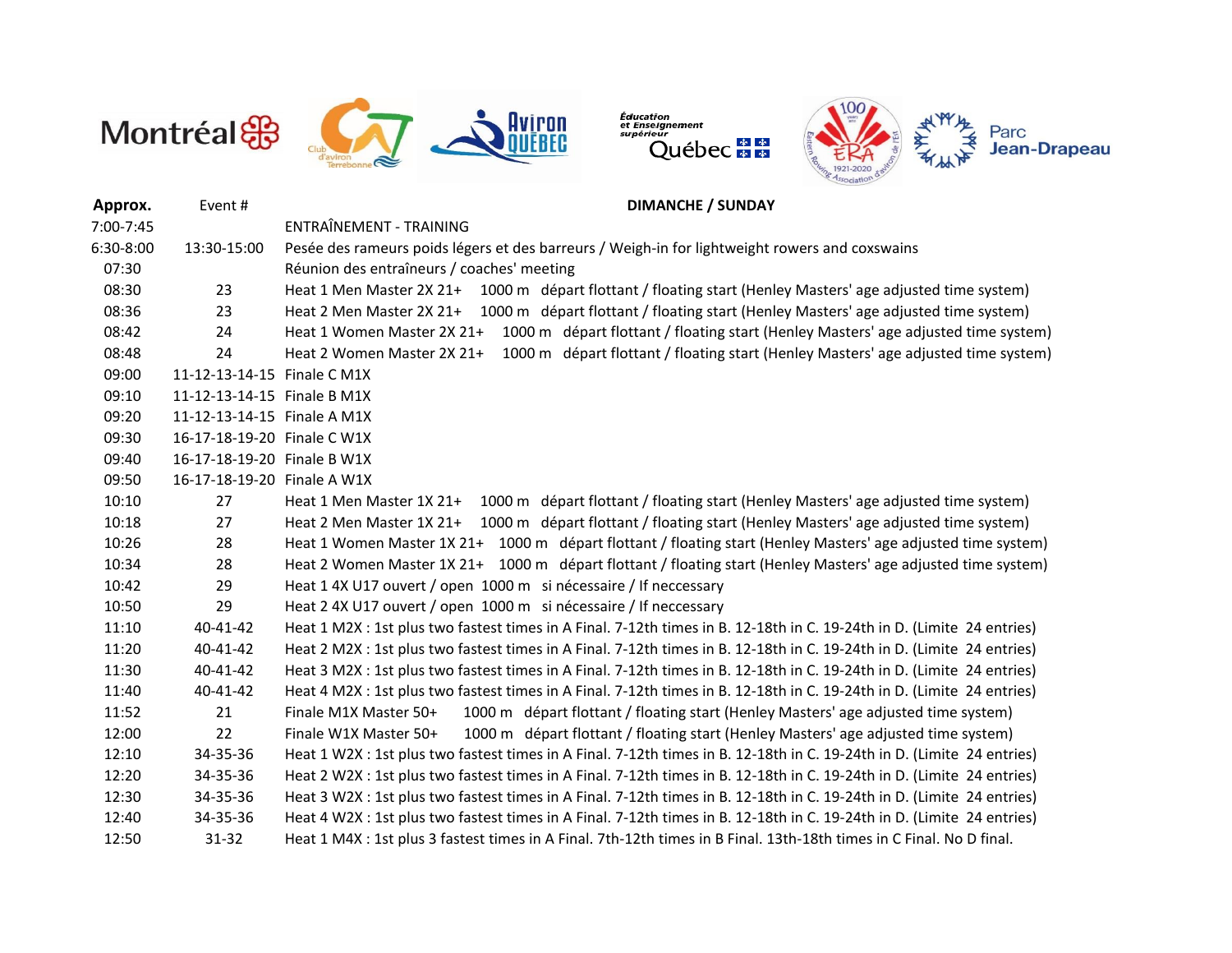

Éducation<br>et Enseignement<br>supérieur "eur<br>Québec <mark>≢ ≇</mark>



| Approx.   | Event#                      | <b>DIMANCHE / SUNDAY</b>                                                                                               |
|-----------|-----------------------------|------------------------------------------------------------------------------------------------------------------------|
| 7:00-7:45 |                             | ENTRAÎNEMENT - TRAINING                                                                                                |
| 6:30-8:00 | 13:30-15:00                 | Pesée des rameurs poids légers et des barreurs / Weigh-in for lightweight rowers and coxswains                         |
| 07:30     |                             | Réunion des entraîneurs / coaches' meeting                                                                             |
| 08:30     | 23                          | Heat 1 Men Master 2X 21+ 1000 m départ flottant / floating start (Henley Masters' age adjusted time system)            |
| 08:36     | 23                          | Heat 2 Men Master 2X 21+ 1000 m départ flottant / floating start (Henley Masters' age adjusted time system)            |
| 08:42     | 24                          | 1000 m départ flottant / floating start (Henley Masters' age adjusted time system)<br>Heat 1 Women Master 2X 21+       |
| 08:48     | 24                          | Heat 2 Women Master 2X 21+ 1000 m départ flottant / floating start (Henley Masters' age adjusted time system)          |
| 09:00     | 11-12-13-14-15 Finale C M1X |                                                                                                                        |
| 09:10     | 11-12-13-14-15 Finale B M1X |                                                                                                                        |
| 09:20     | 11-12-13-14-15 Finale A M1X |                                                                                                                        |
| 09:30     | 16-17-18-19-20 Finale C W1X |                                                                                                                        |
| 09:40     | 16-17-18-19-20 Finale B W1X |                                                                                                                        |
| 09:50     | 16-17-18-19-20 Finale A W1X |                                                                                                                        |
| 10:10     | 27                          | Heat 1 Men Master 1X 21+ 1000 m départ flottant / floating start (Henley Masters' age adjusted time system)            |
| 10:18     | 27                          | 1000 m départ flottant / floating start (Henley Masters' age adjusted time system)<br>Heat 2 Men Master 1X 21+         |
| 10:26     | 28                          | Heat 1 Women Master 1X 21+ 1000 m départ flottant / floating start (Henley Masters' age adjusted time system)          |
| 10:34     | 28                          | Heat 2 Women Master 1X 21+ 1000 m départ flottant / floating start (Henley Masters' age adjusted time system)          |
| 10:42     | 29                          | Heat 1 4X U17 ouvert / open 1000 m si nécessaire / If neccessary                                                       |
| 10:50     | 29                          | Heat 2 4X U17 ouvert / open 1000 m si nécessaire / If neccessary                                                       |
| 11:10     | 40-41-42                    | Heat 1 M2X : 1st plus two fastest times in A Final. 7-12th times in B. 12-18th in C. 19-24th in D. (Limite 24 entries) |
| 11:20     | 40-41-42                    | Heat 2 M2X : 1st plus two fastest times in A Final. 7-12th times in B. 12-18th in C. 19-24th in D. (Limite 24 entries) |
| 11:30     | 40-41-42                    | Heat 3 M2X : 1st plus two fastest times in A Final. 7-12th times in B. 12-18th in C. 19-24th in D. (Limite 24 entries) |
| 11:40     | 40-41-42                    | Heat 4 M2X : 1st plus two fastest times in A Final. 7-12th times in B. 12-18th in C. 19-24th in D. (Limite 24 entries) |
| 11:52     | 21                          | Finale M1X Master 50+<br>1000 m départ flottant / floating start (Henley Masters' age adjusted time system)            |
| 12:00     | 22                          | Finale W1X Master 50+<br>1000 m départ flottant / floating start (Henley Masters' age adjusted time system)            |
| 12:10     | 34-35-36                    | Heat 1 W2X : 1st plus two fastest times in A Final. 7-12th times in B. 12-18th in C. 19-24th in D. (Limite 24 entries) |
| 12:20     | 34-35-36                    | Heat 2 W2X : 1st plus two fastest times in A Final. 7-12th times in B. 12-18th in C. 19-24th in D. (Limite 24 entries) |
| 12:30     | 34-35-36                    | Heat 3 W2X : 1st plus two fastest times in A Final. 7-12th times in B. 12-18th in C. 19-24th in D. (Limite 24 entries) |
| 12:40     | 34-35-36                    | Heat 4 W2X : 1st plus two fastest times in A Final. 7-12th times in B. 12-18th in C. 19-24th in D. (Limite 24 entries) |
| 12:50     | 31-32                       | Heat 1 M4X : 1st plus 3 fastest times in A Final. 7th-12th times in B Final. 13th-18th times in C Final. No D final.   |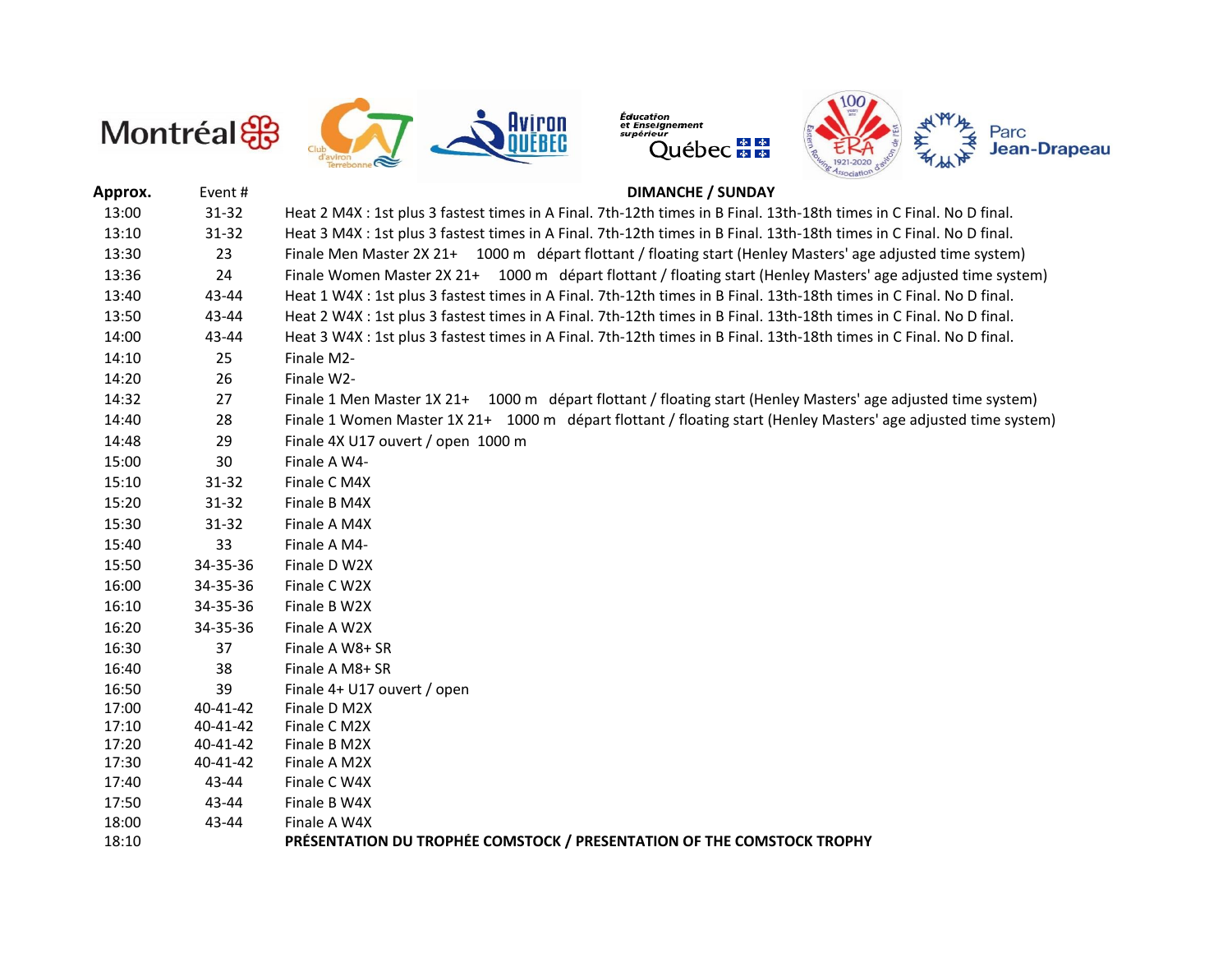



Éducation<br>et Enseignement<br>supérieur rer<br>Québec <mark># #</mark>



### **Approx.** Event # **DIMANCHE / SUNDAY**

| 13:00 | $31 - 32$ | Heat 2 M4X : 1st plus 3 fastest times in A Final. 7th-12th times in B Final. 13th-18th times in C Final. No D final. |
|-------|-----------|----------------------------------------------------------------------------------------------------------------------|
| 13:10 | 31-32     | Heat 3 M4X : 1st plus 3 fastest times in A Final. 7th-12th times in B Final. 13th-18th times in C Final. No D final. |
| 13:30 | 23        | Finale Men Master 2X 21+ 1000 m départ flottant / floating start (Henley Masters' age adjusted time system)          |
| 13:36 | 24        | Finale Women Master 2X 21+ 1000 m départ flottant / floating start (Henley Masters' age adjusted time system)        |
| 13:40 | 43-44     | Heat 1 W4X : 1st plus 3 fastest times in A Final. 7th-12th times in B Final. 13th-18th times in C Final. No D final. |
| 13:50 | 43-44     | Heat 2 W4X : 1st plus 3 fastest times in A Final. 7th-12th times in B Final. 13th-18th times in C Final. No D final. |
| 14:00 | 43-44     | Heat 3 W4X : 1st plus 3 fastest times in A Final. 7th-12th times in B Final. 13th-18th times in C Final. No D final. |
| 14:10 | 25        | Finale M2-                                                                                                           |
| 14:20 | 26        | Finale W2-                                                                                                           |
| 14:32 | 27        | Finale 1 Men Master 1X 21+ 1000 m départ flottant / floating start (Henley Masters' age adjusted time system)        |
| 14:40 | 28        | Finale 1 Women Master 1X 21+ 1000 m départ flottant / floating start (Henley Masters' age adjusted time system)      |
| 14:48 | 29        | Finale 4X U17 ouvert / open 1000 m                                                                                   |
| 15:00 | 30        | Finale A W4-                                                                                                         |
| 15:10 | $31 - 32$ | Finale C M4X                                                                                                         |
| 15:20 | 31-32     | Finale B M4X                                                                                                         |
| 15:30 | 31-32     | Finale A M4X                                                                                                         |
| 15:40 | 33        | Finale A M4-                                                                                                         |
| 15:50 | 34-35-36  | Finale D W2X                                                                                                         |
| 16:00 | 34-35-36  | Finale C W2X                                                                                                         |
| 16:10 | 34-35-36  | Finale B W2X                                                                                                         |
| 16:20 | 34-35-36  | Finale A W2X                                                                                                         |
| 16:30 | 37        | Finale A W8+ SR                                                                                                      |
| 16:40 | 38        | Finale A M8+ SR                                                                                                      |
| 16:50 | 39        | Finale 4+ U17 ouvert / open                                                                                          |
| 17:00 | 40-41-42  | Finale D M2X                                                                                                         |
| 17:10 | 40-41-42  | Finale C M2X                                                                                                         |
| 17:20 | 40-41-42  | Finale B M2X                                                                                                         |
| 17:30 | 40-41-42  | Finale A M2X                                                                                                         |
| 17:40 | 43-44     | Finale C W4X                                                                                                         |
| 17:50 | 43-44     | Finale B W4X                                                                                                         |
| 18:00 | 43-44     | Finale A W4X                                                                                                         |
| 18:10 |           | PRÉSENTATION DU TROPHÉE COMSTOCK / PRESENTATION OF THE COMSTOCK TROPHY                                               |
|       |           |                                                                                                                      |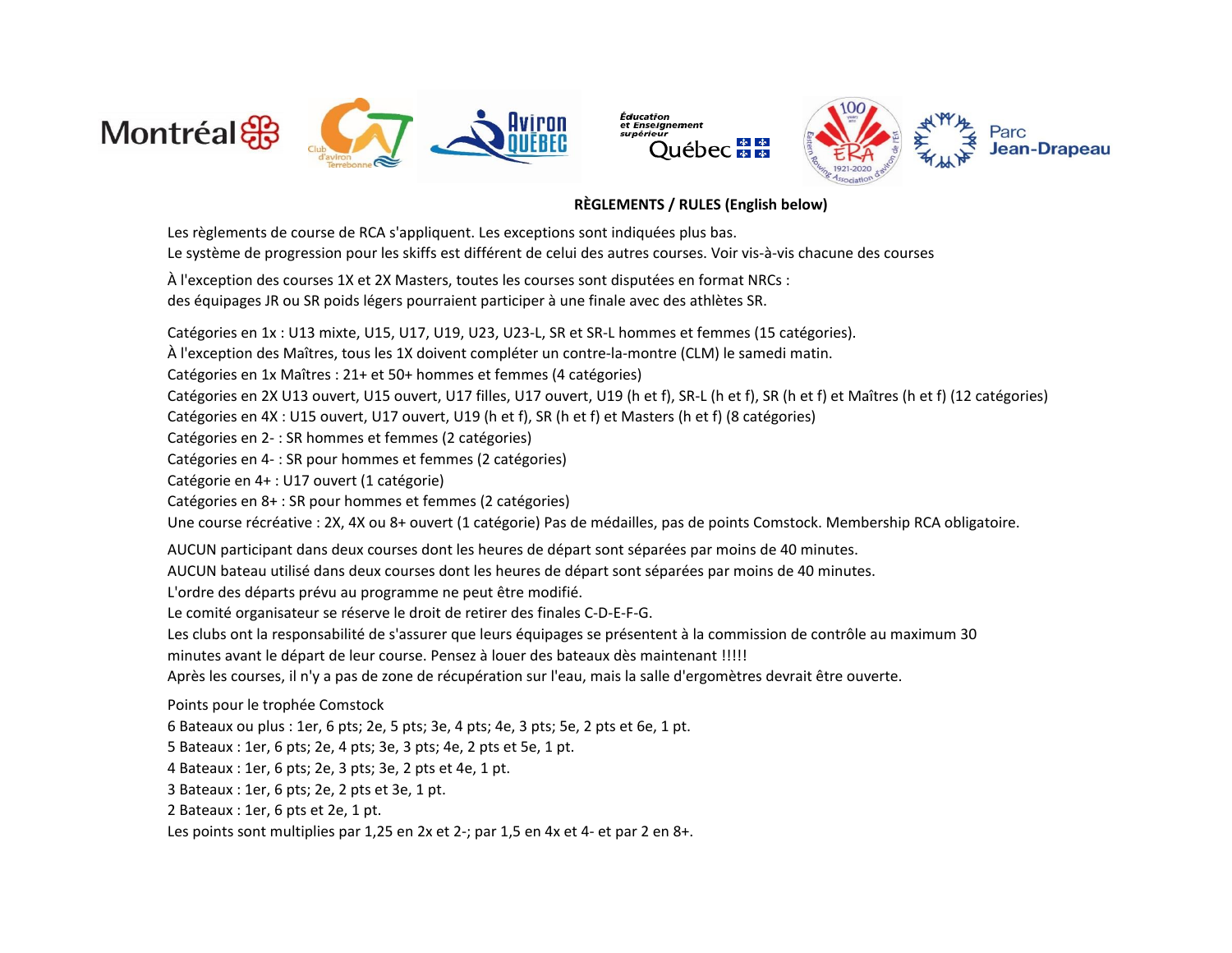



### **RÈGLEMENTS / RULES (English below)**

Le système de progression pour les skiffs est différent de celui des autres courses. Voir vis-à-vis chacune des courses À l'exception des courses 1X et 2X Masters, toutes les courses sont disputées en format NRCs : des équipages JR ou SR poids légers pourraient participer à une finale avec des athlètes SR. Catégories en 1x : U13 mixte, U15, U17, U19, U23, U23-L, SR et SR-L hommes et femmes (15 catégories). À l'exception des Maîtres, tous les 1X doivent compléter un contre-la-montre (CLM) le samedi matin. Catégories en 1x Maîtres : 21+ et 50+ hommes et femmes (4 catégories) Catégories en 2X U13 ouvert, U15 ouvert, U17 filles, U17 ouvert, U19 (h et f), SR-L (h et f), SR (h et f) et Maîtres (h et f) (12 catégories) Catégories en 4X : U15 ouvert, U17 ouvert, U19 (h et f), SR (h et f) et Masters (h et f) (8 catégories) Catégories en 2- : SR hommes et femmes (2 catégories) Catégories en 4- : SR pour hommes et femmes (2 catégories) Catégorie en 4+ : U17 ouvert (1 catégorie) Catégories en 8+ : SR pour hommes et femmes (2 catégories) Une course récréative : 2X, 4X ou 8+ ouvert (1 catégorie) Pas de médailles, pas de points Comstock. Membership RCA obligatoire. AUCUN participant dans deux courses dont les heures de départ sont séparées par moins de 40 minutes. AUCUN bateau utilisé dans deux courses dont les heures de départ sont séparées par moins de 40 minutes. L'ordre des départs prévu au programme ne peut être modifié. Le comité organisateur se réserve le droit de retirer des finales C-D-E-F-G. Les clubs ont la responsabilité de s'assurer que leurs équipages se présentent à la commission de contrôle au maximum 30 minutes avant le départ de leur course. Pensez à louer des bateaux dès maintenant !!!!! Après les courses, il n'y a pas de zone de récupération sur l'eau, mais la salle d'ergomètres devrait être ouverte. Points pour le trophée Comstock 6 Bateaux ou plus : 1er, 6 pts; 2e, 5 pts; 3e, 4 pts; 4e, 3 pts; 5e, 2 pts et 6e, 1 pt. 5 Bateaux : 1er, 6 pts; 2e, 4 pts; 3e, 3 pts; 4e, 2 pts et 5e, 1 pt. 4 Bateaux : 1er, 6 pts; 2e, 3 pts; 3e, 2 pts et 4e, 1 pt. 3 Bateaux : 1er, 6 pts; 2e, 2 pts et 3e, 1 pt. 2 Bateaux : 1er, 6 pts et 2e, 1 pt. Les règlements de course de RCA s'appliquent. Les exceptions sont indiquées plus bas.

Les points sont multiplies par 1,25 en 2x et 2-; par 1,5 en 4x et 4- et par 2 en 8+.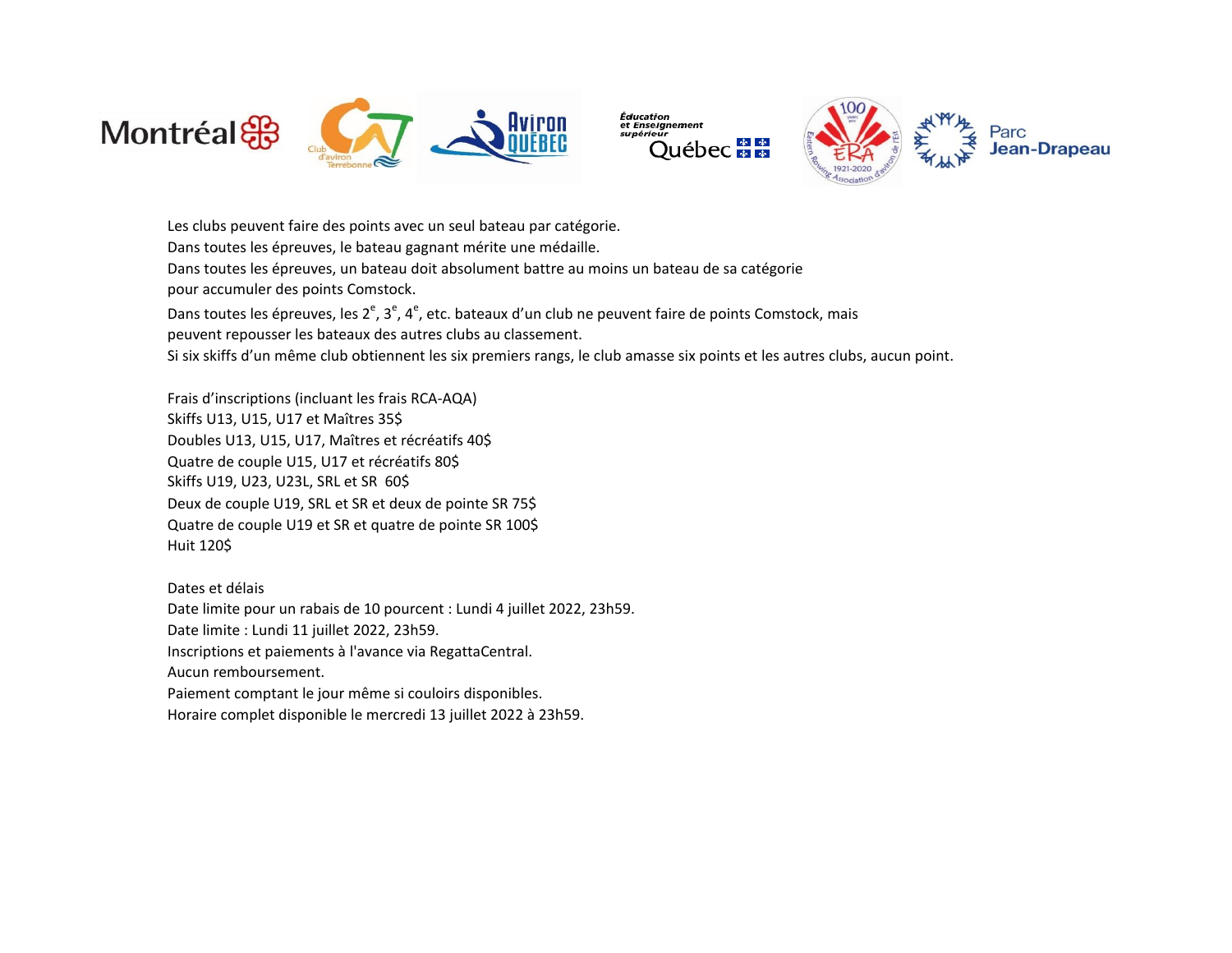

Les clubs peuvent faire des points avec un seul bateau par catégorie.



Dans toutes les épreuves, le bateau gagnant mérite une médaille. Dans toutes les épreuves, un bateau doit absolument battre au moins un bateau de sa catégorie pour accumuler des points Comstock. Dans toutes les épreuves, les 2<sup>e</sup>, 3<sup>e</sup>, 4<sup>e</sup>, etc. bateaux d'un club ne peuvent faire de points Comstock, mais peuvent repousser les bateaux des autres clubs au classement. Si six skiffs d'un même club obtiennent les six premiers rangs, le club amasse six points et les autres clubs, aucun point. Frais d'inscriptions (incluant les frais RCA-AQA) Skiffs U13, U15, U17 et Maîtres 35\$ Doubles U13, U15, U17, Maîtres et récréatifs 40\$ Quatre de couple U15, U17 et récréatifs 80\$ Skiffs U19, U23, U23L, SRL et SR 60\$

Deux de couple U19, SRL et SR et deux de pointe SR 75\$ Quatre de couple U19 et SR et quatre de pointe SR 100\$ Huit 120\$

Dates et délais Date limite pour un rabais de 10 pourcent : Lundi 4 juillet 2022, 23h59. Date limite : Lundi 11 juillet 2022, 23h59. Inscriptions et paiements à l'avance via RegattaCentral. Aucun remboursement. Paiement comptant le jour même si couloirs disponibles. Horaire complet disponible le mercredi 13 juillet 2022 à 23h59.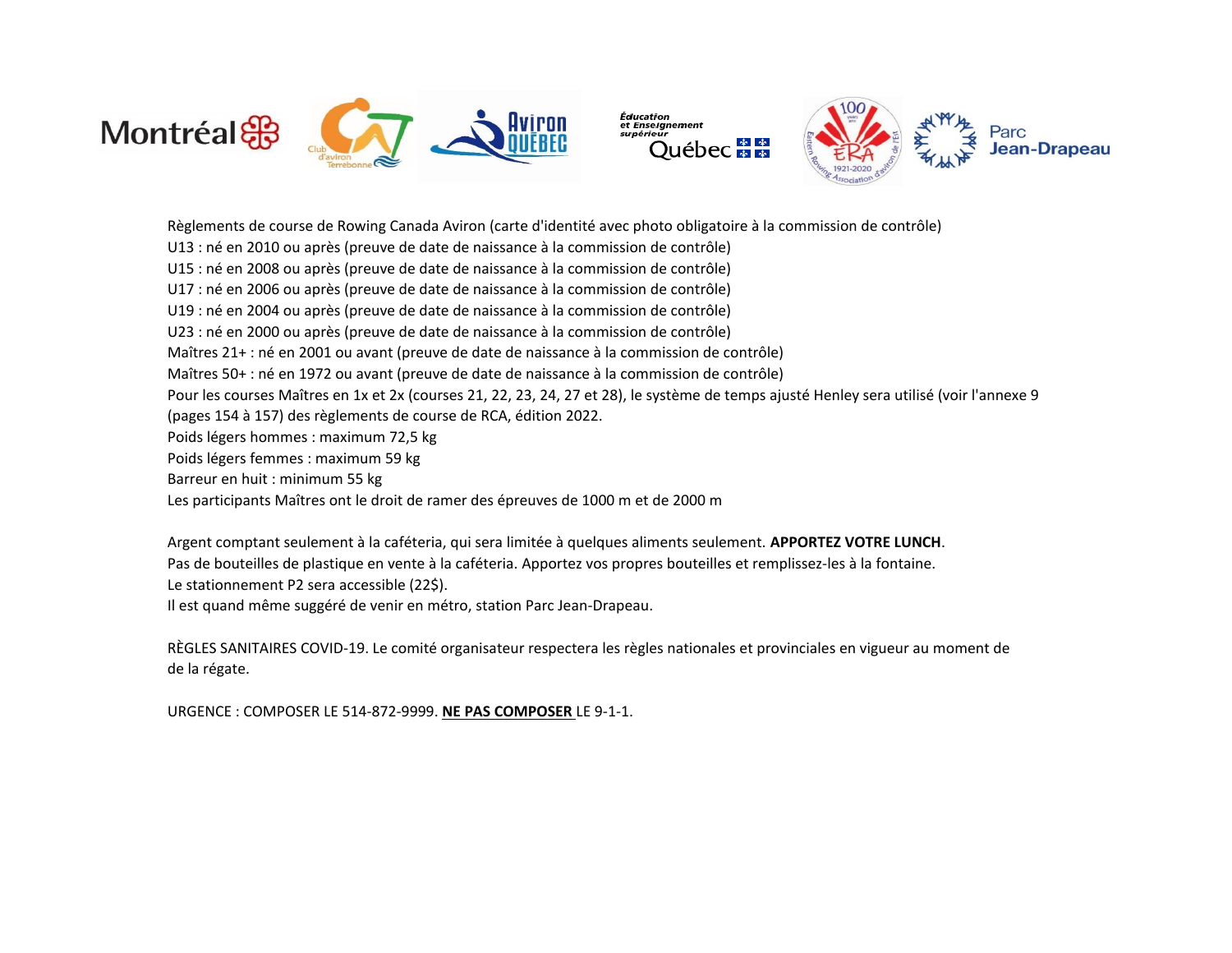



Règlements de course de Rowing Canada Aviron (carte d'identité avec photo obligatoire à la commission de contrôle)

- U13 : né en 2010 ou après (preuve de date de naissance à la commission de contrôle)
- U15 : né en 2008 ou après (preuve de date de naissance à la commission de contrôle)
- U17 : né en 2006 ou après (preuve de date de naissance à la commission de contrôle)
- U19 : né en 2004 ou après (preuve de date de naissance à la commission de contrôle)
- U23 : né en 2000 ou après (preuve de date de naissance à la commission de contrôle)
- Maîtres 21+ : né en 2001 ou avant (preuve de date de naissance à la commission de contrôle)
- Maîtres 50+ : né en 1972 ou avant (preuve de date de naissance à la commission de contrôle)
- Pour les courses Maîtres en 1x et 2x (courses 21, 22, 23, 24, 27 et 28), le système de temps ajusté Henley sera utilisé (voir l'annexe 9

Éducation

- (pages 154 à 157) des règlements de course de RCA, édition 2022.
- Poids légers hommes : maximum 72,5 kg
- Poids légers femmes : maximum 59 kg
- Barreur en huit : minimum 55 kg
- Les participants Maîtres ont le droit de ramer des épreuves de 1000 m et de 2000 m
- Le stationnement P2 sera accessible (22\$). Argent comptant seulement à la caféteria, qui sera limitée à quelques aliments seulement. **APPORTEZ VOTRE LUNCH**. Pas de bouteilles de plastique en vente à la caféteria. Apportez vos propres bouteilles et remplissez-les à la fontaine.
- Il est quand même suggéré de venir en métro, station Parc Jean-Drapeau.

de la régate. RÈGLES SANITAIRES COVID-19. Le comité organisateur respectera les règles nationales et provinciales en vigueur au moment de

URGENCE : COMPOSER LE 514-872-9999. **NE PAS COMPOSER** LE 9-1-1.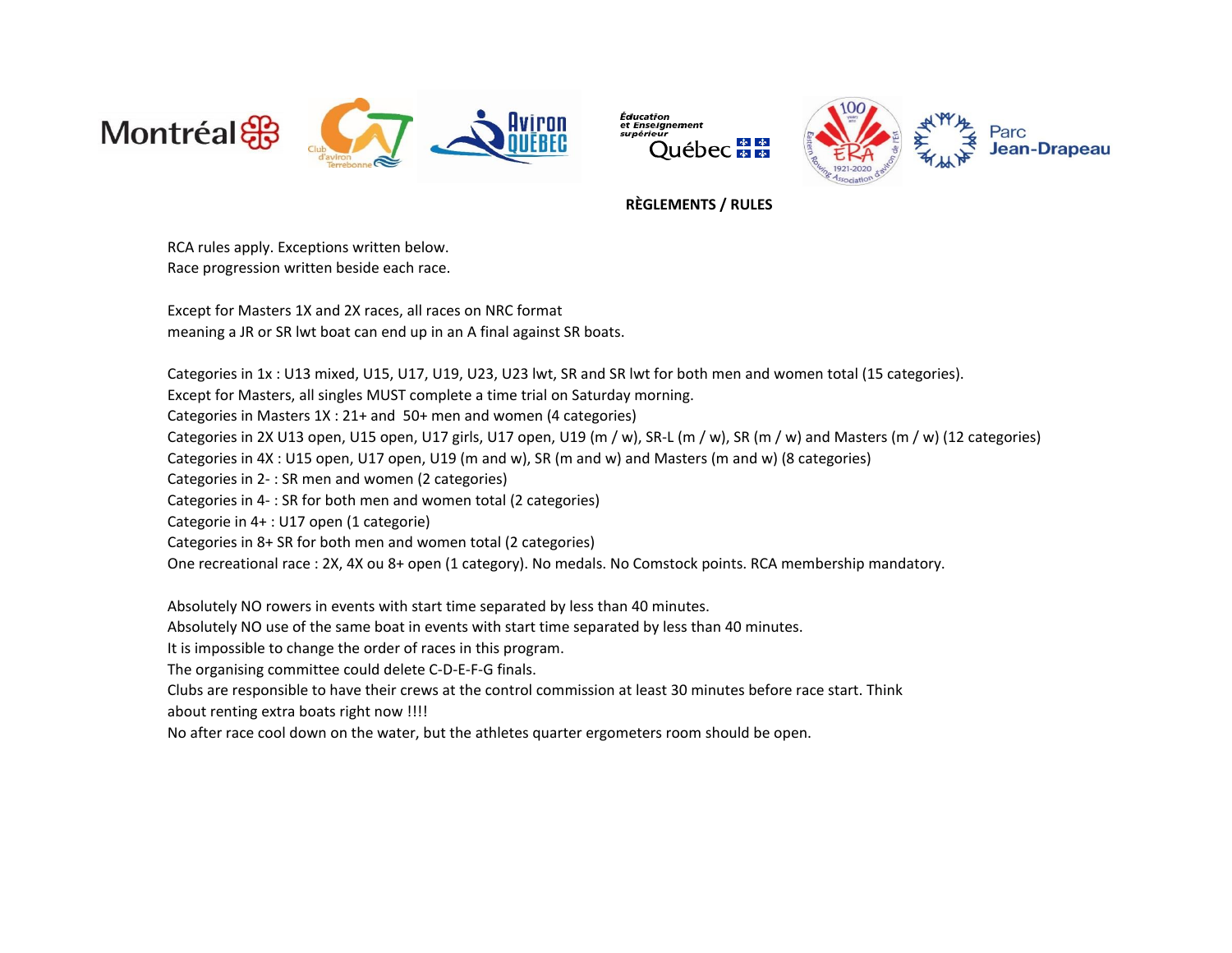



## **RÈGLEMENTS / RULES**

Éducation

Race progression written beside each race. RCA rules apply. Exceptions written below.

Except for Masters 1X and 2X races, all races on NRC format meaning a JR or SR lwt boat can end up in an A final against SR boats.

Categories in 1x : U13 mixed, U15, U17, U19, U23, U23 lwt, SR and SR lwt for both men and women total (15 categories). Except for Masters, all singles MUST complete a time trial on Saturday morning. Categories in Masters 1X : 21+ and 50+ men and women (4 categories) Categories in 2X U13 open, U15 open, U17 girls, U17 open, U19 (m / w), SR-L (m / w), SR (m / w) and Masters (m / w) (12 categories) Categories in 4X : U15 open, U17 open, U19 (m and w), SR (m and w) and Masters (m and w) (8 categories) Categories in 2- : SR men and women (2 categories) Categories in 4- : SR for both men and women total (2 categories) Categorie in 4+ : U17 open (1 categorie) Categories in 8+ SR for both men and women total (2 categories) One recreational race : 2X, 4X ou 8+ open (1 category). No medals. No Comstock points. RCA membership mandatory.

Absolutely NO rowers in events with start time separated by less than 40 minutes.

Absolutely NO use of the same boat in events with start time separated by less than 40 minutes.

It is impossible to change the order of races in this program.

The organising committee could delete C-D-E-F-G finals.

Clubs are responsible to have their crews at the control commission at least 30 minutes before race start. Think about renting extra boats right now !!!!

No after race cool down on the water, but the athletes quarter ergometers room should be open.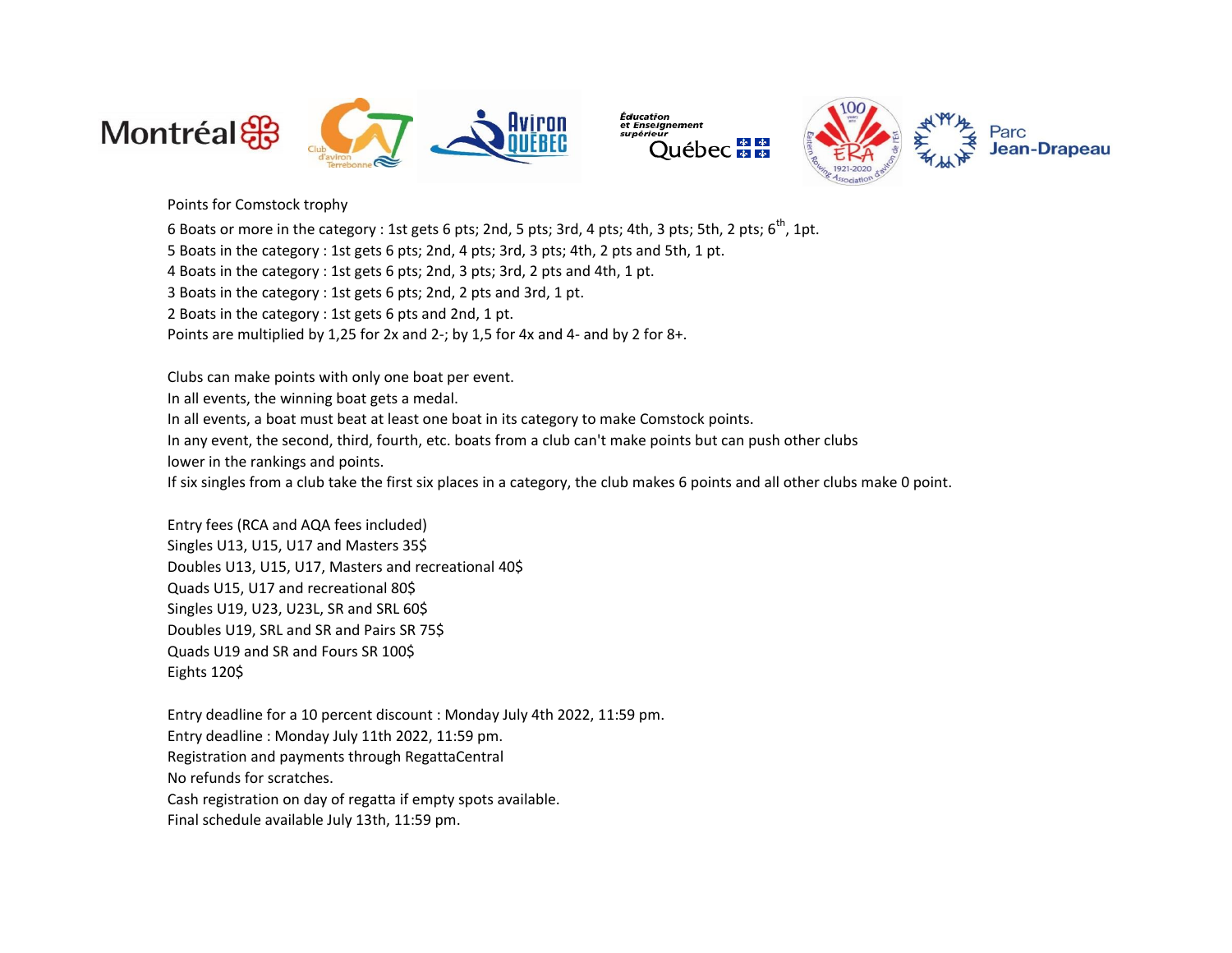



Points for Comstock trophy

6 Boats or more in the category : 1st gets 6 pts; 2nd, 5 pts; 3rd, 4 pts; 4th, 3 pts; 5th, 2 pts; 6<sup>th</sup>, 1pt.

5 Boats in the category : 1st gets 6 pts; 2nd, 4 pts; 3rd, 3 pts; 4th, 2 pts and 5th, 1 pt.

4 Boats in the category : 1st gets 6 pts; 2nd, 3 pts; 3rd, 2 pts and 4th, 1 pt.

3 Boats in the category : 1st gets 6 pts; 2nd, 2 pts and 3rd, 1 pt.

2 Boats in the category : 1st gets 6 pts and 2nd, 1 pt.

Points are multiplied by 1,25 for 2x and 2-; by 1,5 for 4x and 4- and by 2 for 8+.

Clubs can make points with only one boat per event.

In all events, the winning boat gets a medal.

In all events, a boat must beat at least one boat in its category to make Comstock points.

In any event, the second, third, fourth, etc. boats from a club can't make points but can push other clubs

lower in the rankings and points.

If six singles from a club take the first six places in a category, the club makes 6 points and all other clubs make 0 point.

Entry fees (RCA and AQA fees included) Singles U13, U15, U17 and Masters 35\$ Doubles U13, U15, U17, Masters and recreational 40\$ Quads U15, U17 and recreational 80\$ Singles U19, U23, U23L, SR and SRL 60\$ Doubles U19, SRL and SR and Pairs SR 75\$ Quads U19 and SR and Fours SR 100\$ Eights 120\$

Entry deadline for a 10 percent discount : Monday July 4th 2022, 11:59 pm. Entry deadline : Monday July 11th 2022, 11:59 pm. Registration and payments through RegattaCentral No refunds for scratches. Cash registration on day of regatta if empty spots available. Final schedule available July 13th, 11:59 pm.